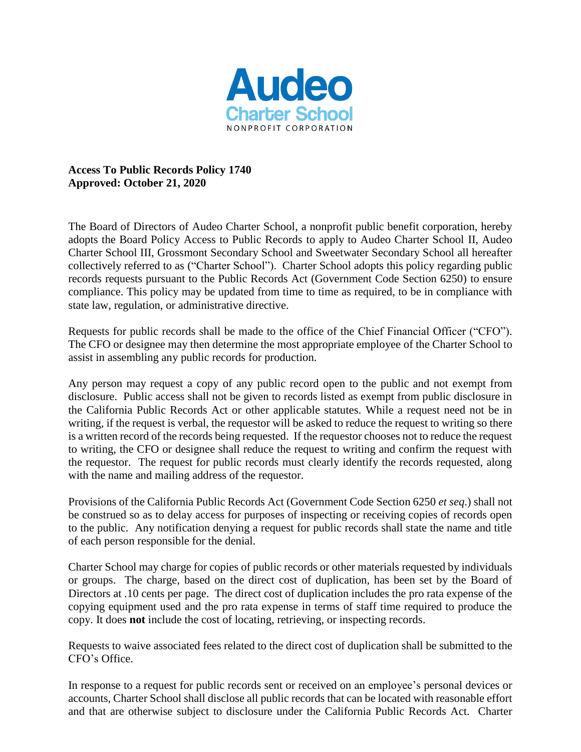

**Access To Public Records Policy 1740 Approved: October 21, 2020**

The Board of Directors of Audeo Charter School, a nonprofit public benefit corporation, hereby adopts the Board Policy Access to Public Records to apply to Audeo Charter School II, Audeo Charter School III, Grossmont Secondary School and Sweetwater Secondary School all hereafter collectively referred to as ("Charter School"). Charter School adopts this policy regarding public records requests pursuant to the Public Records Act (Government Code Section 6250) to ensure compliance. This policy may be updated from time to time as required, to be in compliance with state law, regulation, or administrative directive.

Requests for public records shall be made to the office of the Chief Financial Officer ("CFO"). The CFO or designee may then determine the most appropriate employee of the Charter School to assist in assembling any public records for production.

Any person may request a copy of any public record open to the public and not exempt from disclosure. Public access shall not be given to records listed as exempt from public disclosure in the California Public Records Act or other applicable statutes. While a request need not be in writing, if the request is verbal, the requestor will be asked to reduce the request to writing so there is a written record of the records being requested. If the requestor chooses not to reduce the request to writing, the CFO or designee shall reduce the request to writing and confirm the request with the requestor. The request for public records must clearly identify the records requested, along with the name and mailing address of the requestor.

Provisions of the California Public Records Act (Government Code Section 6250 *et seq*.) shall not be construed so as to delay access for purposes of inspecting or receiving copies of records open to the public. Any notification denying a request for public records shall state the name and title of each person responsible for the denial.

Charter School may charge for copies of public records or other materials requested by individuals or groups. The charge, based on the direct cost of duplication, has been set by the Board of Directors at .10 cents per page. The direct cost of duplication includes the pro rata expense of the copying equipment used and the pro rata expense in terms of staff time required to produce the copy. It does **not** include the cost of locating, retrieving, or inspecting records.

Requests to waive associated fees related to the direct cost of duplication shall be submitted to the CFO's Office.

In response to a request for public records sent or received on an employee's personal devices or accounts, Charter School shall disclose all public records that can be located with reasonable effort and that are otherwise subject to disclosure under the California Public Records Act. Charter